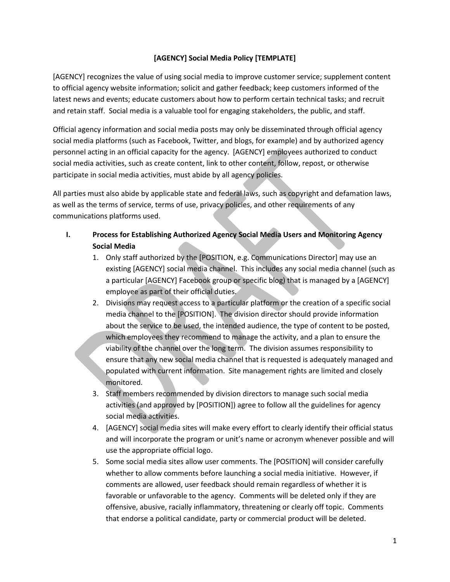# **[AGENCY] Social Media Policy [TEMPLATE]**

[AGENCY] recognizes the value of using social media to improve customer service; supplement content to official agency website information; solicit and gather feedback; keep customers informed of the latest news and events; educate customers about how to perform certain technical tasks; and recruit and retain staff. Social media is a valuable tool for engaging stakeholders, the public, and staff.

Official agency information and social media posts may only be disseminated through official agency social media platforms (such as Facebook, Twitter, and blogs, for example) and by authorized agency personnel acting in an official capacity for the agency. [AGENCY] employees authorized to conduct social media activities, such as create content, link to other content, follow, repost, or otherwise participate in social media activities, must abide by all agency policies.

All parties must also abide by applicable state and federal laws, such as copyright and defamation laws, as well as the terms of service, terms of use, privacy policies, and other requirements of any communications platforms used.

- **I. Process for Establishing Authorized Agency Social Media Users and Monitoring Agency Social Media**
	- 1. Only staff authorized by the [POSITION, e.g. Communications Director] may use an existing [AGENCY] social media channel. This includes any social media channel (such as a particular [AGENCY] Facebook group or specific blog) that is managed by a [AGENCY] employee as part of their official duties.
	- 2. Divisions may request access to a particular platform or the creation of a specific social media channel to the [POSITION]. The division director should provide information about the service to be used, the intended audience, the type of content to be posted, which employees they recommend to manage the activity, and a plan to ensure the viability of the channel over the long term. The division assumes responsibility to ensure that any new social media channel that is requested is adequately managed and populated with current information. Site management rights are limited and closely monitored.
	- 3. Staff members recommended by division directors to manage such social media activities (and approved by [POSITION]) agree to follow all the guidelines for agency social media activities.
	- 4. [AGENCY] social media sites will make every effort to clearly identify their official status and will incorporate the program or unit's name or acronym whenever possible and will use the appropriate official logo.
	- 5. Some social media sites allow user comments. The [POSITION] will consider carefully whether to allow comments before launching a social media initiative. However, if comments are allowed, user feedback should remain regardless of whether it is favorable or unfavorable to the agency. Comments will be deleted only if they are offensive, abusive, racially inflammatory, threatening or clearly off topic. Comments that endorse a political candidate, party or commercial product will be deleted.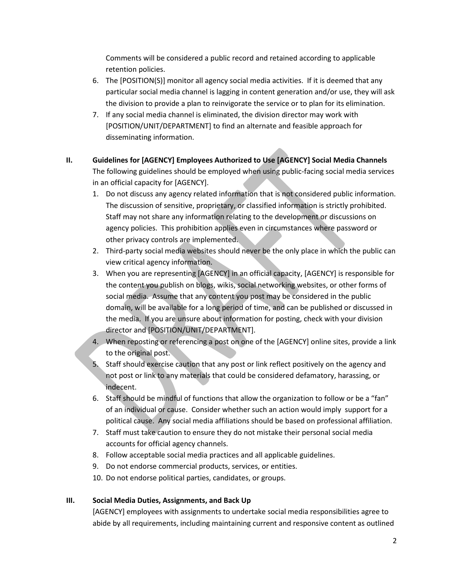Comments will be considered a public record and retained according to applicable retention policies.

- 6. The [POSITION(S)] monitor all agency social media activities. If it is deemed that any particular social media channel is lagging in content generation and/or use, they will ask the division to provide a plan to reinvigorate the service or to plan for its elimination.
- 7. If any social media channel is eliminated, the division director may work with [POSITION/UNIT/DEPARTMENT] to find an alternate and feasible approach for disseminating information.
- **II. Guidelines for [AGENCY] Employees Authorized to Use [AGENCY] Social Media Channels** The following guidelines should be employed when using public-facing social media services in an official capacity for [AGENCY].
	- 1. Do not discuss any agency related information that is not considered public information. The discussion of sensitive, proprietary, or classified information is strictly prohibited. Staff may not share any information relating to the development or discussions on agency policies. This prohibition applies even in circumstances where password or other privacy controls are implemented.
	- 2. Third-party social media websites should never be the only place in which the public can view critical agency information.
	- 3. When you are representing [AGENCY] in an official capacity, [AGENCY] is responsible for the content you publish on blogs, wikis, social networking websites, or other forms of social media. Assume that any content you post may be considered in the public domain, will be available for a long period of time, and can be published or discussed in the media. If you are unsure about information for posting, check with your division director and [POSITION/UNIT/DEPARTMENT].
	- 4. When reposting or referencing a post on one of the [AGENCY] online sites, provide a link to the original post.
	- 5. Staff should exercise caution that any post or link reflect positively on the agency and not post or link to any materials that could be considered defamatory, harassing, or indecent.
	- 6. Staff should be mindful of functions that allow the organization to follow or be a "fan" of an individual or cause. Consider whether such an action would imply support for a political cause. Any social media affiliations should be based on professional affiliation.
	- 7. Staff must take caution to ensure they do not mistake their personal social media accounts for official agency channels.
	- 8. Follow acceptable social media practices and all applicable guidelines.
	- 9. Do not endorse commercial products, services, or entities.
	- 10. Do not endorse political parties, candidates, or groups.

# **III. Social Media Duties, Assignments, and Back Up**

[AGENCY] employees with assignments to undertake social media responsibilities agree to abide by all requirements, including maintaining current and responsive content as outlined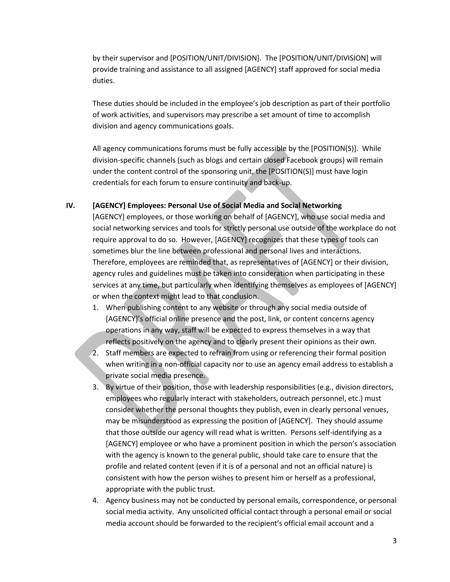by their supervisor and [POSITION/UNIT/DIVISION]. The [POSITION/UNIT/DIVISION] will provide training and assistance to all assigned [AGENCY] staff approved for social media duties.

These duties should be included in the employee's job description as part of their portfolio of work activities, and supervisors may prescribe a set amount of time to accomplish division and agency communications goals.

All agency communications forums must be fully accessible by the [POSITION(S)]. While division-specific channels (such as blogs and certain closed Facebook groups) will remain under the content control of the sponsoring unit, the [POSITION(S)] must have login credentials for each forum to ensure continuity and back-up.

### **IV. [AGENCY] Employees: Personal Use of Social Media and Social Networking**

[AGENCY] employees, or those working on behalf of [AGENCY], who use social media and social networking services and tools for strictly personal use outside of the workplace do not require approval to do so. However, [AGENCY] recognizes that these types of tools can sometimes blur the line between professional and personal lives and interactions. Therefore, employees are reminded that, as representatives of [AGENCY] or their division, agency rules and guidelines must be taken into consideration when participating in these services at any time, but particularly when identifying themselves as employees of [AGENCY] or when the context might lead to that conclusion.

- 1. When publishing content to any website or through any social media outside of [AGENCY]'s official online presence and the post, link, or content concerns agency operations in any way, staff will be expected to express themselves in a way that reflects positively on the agency and to clearly present their opinions as their own.
- 2. Staff members are expected to refrain from using or referencing their formal position when writing in a non-official capacity nor to use an agency email address to establish a private social media presence.
- 3. By virtue of their position, those with leadership responsibilities (e.g., division directors, employees who regularly interact with stakeholders, outreach personnel, etc.) must consider whether the personal thoughts they publish, even in clearly personal venues, may be misunderstood as expressing the position of [AGENCY]. They should assume that those outside our agency will read what is written. Persons self-identifying as a [AGENCY] employee or who have a prominent position in which the person's association with the agency is known to the general public, should take care to ensure that the profile and related content (even if it is of a personal and not an official nature) is consistent with how the person wishes to present him or herself as a professional, appropriate with the public trust.
- 4. Agency business may not be conducted by personal emails, correspondence, or personal social media activity. Any unsolicited official contact through a personal email or social media account should be forwarded to the recipient's official email account and a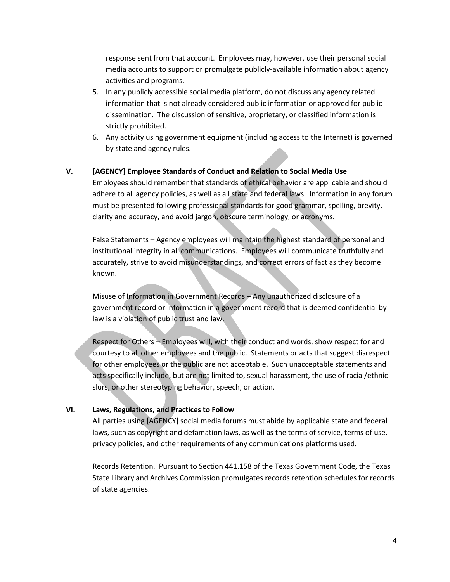response sent from that account. Employees may, however, use their personal social media accounts to support or promulgate publicly-available information about agency activities and programs.

- 5. In any publicly accessible social media platform, do not discuss any agency related information that is not already considered public information or approved for public dissemination. The discussion of sensitive, proprietary, or classified information is strictly prohibited.
- 6. Any activity using government equipment (including access to the Internet) is governed by state and agency rules.

### **V. [AGENCY] Employee Standards of Conduct and Relation to Social Media Use**

Employees should remember that standards of ethical behavior are applicable and should adhere to all agency policies, as well as all state and federal laws. Information in any forum must be presented following professional standards for good grammar, spelling, brevity, clarity and accuracy, and avoid jargon, obscure terminology, or acronyms.

False Statements – Agency employees will maintain the highest standard of personal and institutional integrity in all communications. Employees will communicate truthfully and accurately, strive to avoid misunderstandings, and correct errors of fact as they become known.

Misuse of Information in Government Records – Any unauthorized disclosure of a government record or information in a government record that is deemed confidential by law is a violation of public trust and law.

Respect for Others – Employees will, with their conduct and words, show respect for and courtesy to all other employees and the public. Statements or acts that suggest disrespect for other employees or the public are not acceptable. Such unacceptable statements and acts specifically include, but are not limited to, sexual harassment, the use of racial/ethnic slurs, or other stereotyping behavior, speech, or action.

#### **VI. Laws, Regulations, and Practices to Follow**

All parties using [AGENCY] social media forums must abide by applicable state and federal laws, such as copyright and defamation laws, as well as the terms of service, terms of use, privacy policies, and other requirements of any communications platforms used.

Records Retention. Pursuant to Section 441.158 of the Texas Government Code, the Texas State Library and Archives Commission promulgates records retention schedules for records of state agencies.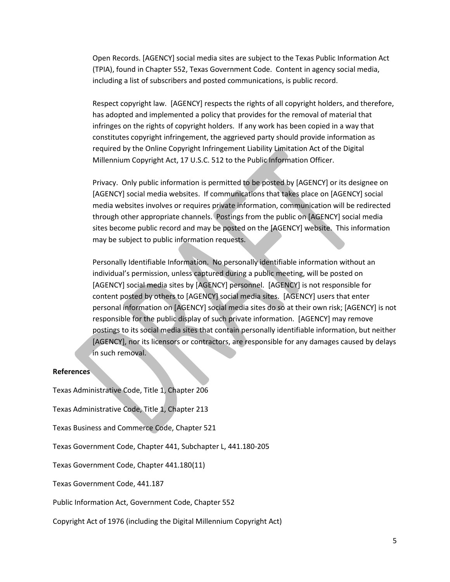Open Records. [AGENCY] social media sites are subject to the Texas Public Information Act (TPIA), found in Chapter 552, Texas Government Code. Content in agency social media, including a list of subscribers and posted communications, is public record.

Respect copyright law. [AGENCY] respects the rights of all copyright holders, and therefore, has adopted and implemented a policy that provides for the removal of material that infringes on the rights of copyright holders. If any work has been copied in a way that constitutes copyright infringement, the aggrieved party should provide information as required by the Online Copyright Infringement Liability Limitation Act of the Digital Millennium Copyright Act, 17 U.S.C. 512 to the Public Information Officer.

Privacy. Only public information is permitted to be posted by [AGENCY] or its designee on [AGENCY] social media websites. If communications that takes place on [AGENCY] social media websites involves or requires private information, communication will be redirected through other appropriate channels. Postings from the public on [AGENCY] social media sites become public record and may be posted on the [AGENCY] website. This information may be subject to public information requests.

Personally Identifiable Information. No personally identifiable information without an individual's permission, unless captured during a public meeting, will be posted on [AGENCY] social media sites by [AGENCY] personnel. [AGENCY] is not responsible for content posted by others to [AGENCY] social media sites. [AGENCY] users that enter personal information on [AGENCY] social media sites do so at their own risk; [AGENCY] is not responsible for the public display of such private information. [AGENCY] may remove postings to its social media sites that contain personally identifiable information, but neither [AGENCY], nor its licensors or contractors, are responsible for any damages caused by delays in such removal.

#### **References**

Texas Administrative Code, Title 1, Chapter 206

Texas Administrative Code, Title 1, Chapter 213

Texas Business and Commerce Code, Chapter 521

Texas Government Code, Chapter 441, Subchapter L, 441.180-205

Texas Government Code, Chapter 441.180(11)

Texas Government Code, 441.187

Public Information Act, Government Code, Chapter 552

Copyright Act of 1976 (including the Digital Millennium Copyright Act)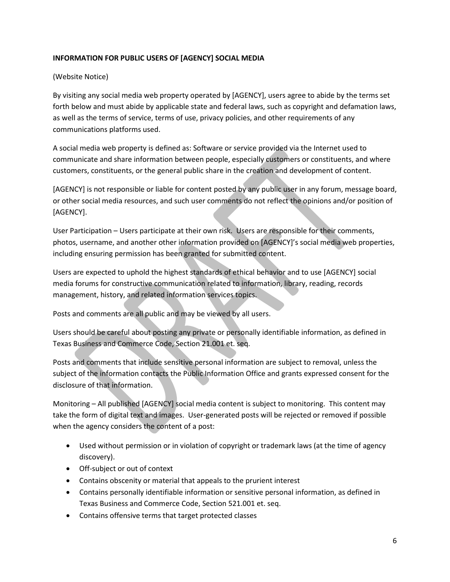# **INFORMATION FOR PUBLIC USERS OF [AGENCY] SOCIAL MEDIA**

# (Website Notice)

By visiting any social media web property operated by [AGENCY], users agree to abide by the terms set forth below and must abide by applicable state and federal laws, such as copyright and defamation laws, as well as the terms of service, terms of use, privacy policies, and other requirements of any communications platforms used.

A social media web property is defined as: Software or service provided via the Internet used to communicate and share information between people, especially customers or constituents, and where customers, constituents, or the general public share in the creation and development of content.

[AGENCY] is not responsible or liable for content posted by any public user in any forum, message board, or other social media resources, and such user comments do not reflect the opinions and/or position of [AGENCY].

User Participation – Users participate at their own risk. Users are responsible for their comments, photos, username, and another other information provided on [AGENCY]'s social media web properties, including ensuring permission has been granted for submitted content.

Users are expected to uphold the highest standards of ethical behavior and to use [AGENCY] social media forums for constructive communication related to information, library, reading, records management, history, and related information services topics.

Posts and comments are all public and may be viewed by all users.

Users should be careful about posting any private or personally identifiable information, as defined in Texas Business and Commerce Code, Section 21.001 et. seq.

Posts and comments that include sensitive personal information are subject to removal, unless the subject of the information contacts the Public Information Office and grants expressed consent for the disclosure of that information.

Monitoring – All published [AGENCY] social media content is subject to monitoring. This content may take the form of digital text and images. User-generated posts will be rejected or removed if possible when the agency considers the content of a post:

- Used without permission or in violation of copyright or trademark laws (at the time of agency discovery).
- Off-subject or out of context
- Contains obscenity or material that appeals to the prurient interest
- Contains personally identifiable information or sensitive personal information, as defined in Texas Business and Commerce Code, Section 521.001 et. seq.
- Contains offensive terms that target protected classes